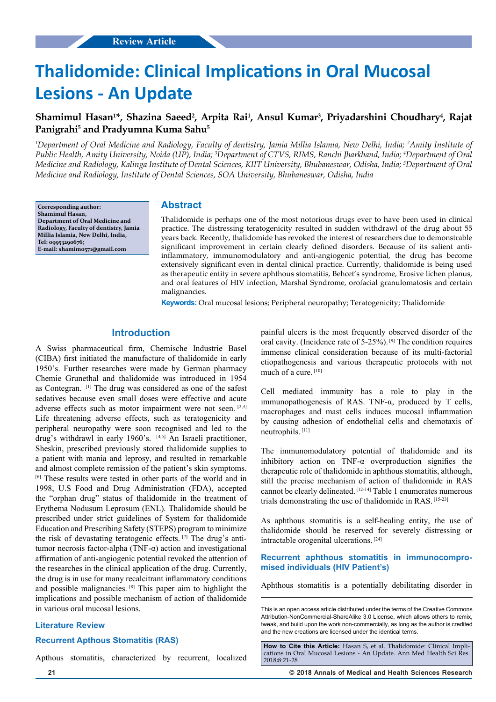# **Thalidomide: Clinical Implications in Oral Mucosal Lesions - An Update**

# Shamimul Hasan<sup>1\*</sup>, Shazina Saeed<sup>2</sup>, Arpita Rai<sup>1</sup>, Ansul Kumar<sup>3</sup>, Priyadarshini Choudhary<sup>4</sup>, Rajat **Panigrahi5 and Pradyumna Kuma Sahu5**

*1 Department of Oral Medicine and Radiology, Faculty of dentistry, Jamia Millia Islamia, New Delhi, India; 2 Amity Institute of Public Health, Amity University, Noida (UP), India; 3 Department of CTVS, RIMS, Ranchi Jharkhand, India; 4 Department of Oral Medicine and Radiology, Kalinga Institute of Dental Sciences, KIIT University, Bhubaneswar, Odisha, India; 5 Department of Oral Medicine and Radiology, Institute of Dental Sciences, SOA University, Bhubaneswar, Odisha, India*

**Corresponding author: Shamimul Hasan, Department of Oral Medicine and Radiology, Faculty of dentistry, Jamia Millia Islamia, New Delhi, India, Tel: 09953290676; E-mail: shamim0571@gmail.com**

## **Abstract**

Thalidomide is perhaps one of the most notorious drugs ever to have been used in clinical practice. The distressing teratogenicity resulted in sudden withdrawl of the drug about 55 years back. Recently, thalidomide has revoked the interest of researchers due to demonstrable significant improvement in certain clearly defined disorders. Because of its salient antiinflammatory, immunomodulatory and anti-angiogenic potential, the drug has become extensively significant even in dental clinical practice. Currently, thalidomide is being used as therapeutic entity in severe aphthous stomatitis, Behcet's syndrome, Erosive lichen planus, and oral features of HIV infection, Marshal Syndrome, orofacial granulomatosis and certain malignancies.

**Keywords:** Oral mucosal lesions; Peripheral neuropathy; Teratogenicity; Thalidomide

## **Introduction**

A Swiss pharmaceutical firm, Chemische Industrie Basel (CIBA) first initiated the manufacture of thalidomide in early 1950's. Further researches were made by German pharmacy Chemie Grunethal and thalidomide was introduced in 1954 as Contegran. [1] The drug was considered as one of the safest sedatives because even small doses were effective and acute adverse effects such as motor impairment were not seen. [2,3] Life threatening adverse effects, such as teratogenicity and peripheral neuropathy were soon recognised and led to the drug's withdrawl in early 1960's. [4,5] An Israeli practitioner, Sheskin, prescribed previously stored thalidomide supplies to a patient with mania and leprosy, and resulted in remarkable and almost complete remission of the patient's skin symptoms. [6] These results were tested in other parts of the world and in 1998, U.S Food and Drug Administration (FDA), accepted the "orphan drug" status of thalidomide in the treatment of Erythema Nodusum Leprosum (ENL). Thalidomide should be prescribed under strict guidelines of System for thalidomide Education and Prescribing Safety (STEPS) program to minimize the risk of devastating teratogenic effects. [7] The drug's antitumor necrosis factor-alpha (TNF-α) action and investigational affirmation of anti-angiogenic potential revoked the attention of the researches in the clinical application of the drug. Currently, the drug is in use for many recalcitrant inflammatory conditions and possible malignancies. [8] This paper aim to highlight the implications and possible mechanism of action of thalidomide in various oral mucosal lesions.

### **Literature Review**

#### **Recurrent Apthous Stomatitis (RAS)**

Apthous stomatitis, characterized by recurrent, localized

painful ulcers is the most frequently observed disorder of the oral cavity. (Incidence rate of 5-25%). [9] The condition requires immense clinical consideration because of its multi-factorial etiopathogenesis and various therapeutic protocols with not much of a cure. [10]

Cell mediated immunity has a role to play in the immunopathogenesis of RAS. TNF-α, produced by T cells, macrophages and mast cells induces mucosal inflammation by causing adhesion of endothelial cells and chemotaxis of neutrophils. [11]

The immunomodulatory potential of thalidomide and its inhibitory action on TNF- $\alpha$  overproduction signifies the therapeutic role of thalidomide in aphthous stomatitis, although, still the precise mechanism of action of thalidomide in RAS cannot be clearly delineated. [12-14] Table 1 enumerates numerous trials demonstrating the use of thalidomide in RAS. [15-23]

As aphthous stomatitis is a self-healing entity, the use of thalidomide should be reserved for severely distressing or intractable orogenital ulcerations. [24]

## **Recurrent aphthous stomatitis in immunocompromised individuals (HIV Patient's)**

Aphthous stomatitis is a potentially debilitating disorder in

This is an open access article distributed under the terms of the Creative Commons Attribution-NonCommercial-ShareAlike 3.0 License, which allows others to remix, tweak, and build upon the work non‑commercially, as long as the author is credited and the new creations are licensed under the identical terms.

**How to Cite this Article:** Hasan S, et al. Thalidomide: Clinical Implications in Oral Mucosal Lesions - An Update. Ann Med Health Sci Res. 2018;8:21-28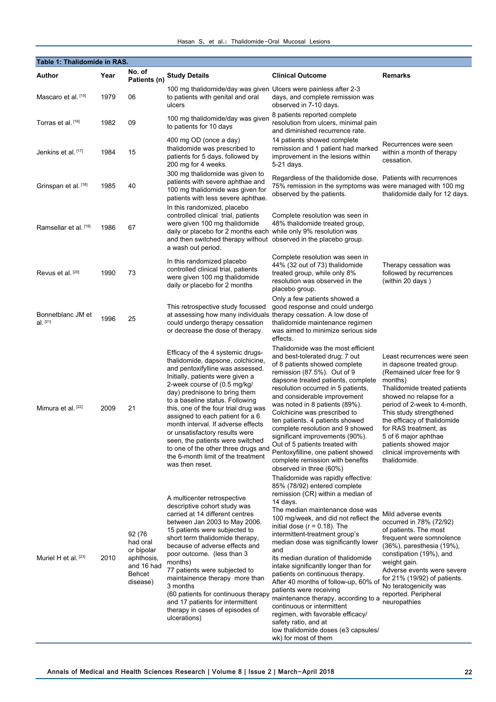|  |  | Hasan S, et al.: Thalidomide-Oral Mucosal Lesions |  |
|--|--|---------------------------------------------------|--|
|  |  |                                                   |  |

| Table 1: Thalidomide in RAS.    |      |                                                                                    |                                                                                                                                                                                                                                                                                                                                                                                                                                                                                                                                            |                                                                                                                                                                                                                                                                                                                                                                                                                                                                                                                                                                                                                                                                                                         |                                                                                                                                                                                                                                                                                                                                                                                 |  |
|---------------------------------|------|------------------------------------------------------------------------------------|--------------------------------------------------------------------------------------------------------------------------------------------------------------------------------------------------------------------------------------------------------------------------------------------------------------------------------------------------------------------------------------------------------------------------------------------------------------------------------------------------------------------------------------------|---------------------------------------------------------------------------------------------------------------------------------------------------------------------------------------------------------------------------------------------------------------------------------------------------------------------------------------------------------------------------------------------------------------------------------------------------------------------------------------------------------------------------------------------------------------------------------------------------------------------------------------------------------------------------------------------------------|---------------------------------------------------------------------------------------------------------------------------------------------------------------------------------------------------------------------------------------------------------------------------------------------------------------------------------------------------------------------------------|--|
| Author                          | Year | No. of<br>Patients (n)                                                             | <b>Study Details</b>                                                                                                                                                                                                                                                                                                                                                                                                                                                                                                                       | <b>Clinical Outcome</b>                                                                                                                                                                                                                                                                                                                                                                                                                                                                                                                                                                                                                                                                                 | Remarks                                                                                                                                                                                                                                                                                                                                                                         |  |
| Mascaro et al. [15]             | 1979 | 06                                                                                 | 100 mg thalidomide/day was given Ulcers were painless after 2-3<br>to patients with genital and oral<br>ulcers                                                                                                                                                                                                                                                                                                                                                                                                                             | days, and complete remission was<br>observed in 7-10 days.                                                                                                                                                                                                                                                                                                                                                                                                                                                                                                                                                                                                                                              |                                                                                                                                                                                                                                                                                                                                                                                 |  |
| Torras et al. [16]              | 1982 | 09                                                                                 | 100 mg thalidomide/day was given<br>to patients for 10 days                                                                                                                                                                                                                                                                                                                                                                                                                                                                                | 8 patients reported complete<br>resolution from ulcers, minimal pain<br>and diminished recurrence rate.                                                                                                                                                                                                                                                                                                                                                                                                                                                                                                                                                                                                 |                                                                                                                                                                                                                                                                                                                                                                                 |  |
| Jenkins et al. [17]             | 1984 | 15                                                                                 | 400 mg OD (once a day)<br>thalidomide was prescribed to<br>patients for 5 days, followed by<br>200 mg for 4 weeks.                                                                                                                                                                                                                                                                                                                                                                                                                         | 14 patients showed complete<br>remission and 1 patient had marked<br>improvement in the lesions within<br>5-21 days.                                                                                                                                                                                                                                                                                                                                                                                                                                                                                                                                                                                    | Recurrences were seen<br>within a month of therapy<br>cessation.                                                                                                                                                                                                                                                                                                                |  |
| Grinspan et al. <sup>[18]</sup> | 1985 | 40                                                                                 | 300 mg thalidomide was given to<br>patients with severe aphthae and<br>100 mg thalidomide was given for<br>patients with less severe aphthae.                                                                                                                                                                                                                                                                                                                                                                                              | Regardless of the thalidomide dose, Patients with recurrences<br>75% remission in the symptoms was were managed with 100 mg<br>observed by the patients.                                                                                                                                                                                                                                                                                                                                                                                                                                                                                                                                                | thalidomide daily for 12 days.                                                                                                                                                                                                                                                                                                                                                  |  |
| Ramsellar et al. [19]           | 1986 | 67                                                                                 | In this randomized, placebo<br>controlled clinical trial, patients<br>were given 100 mg thalidomide<br>daily or placebo for 2 months each while only 9% resolution was<br>and then switched therapy without observed in the placebo group.<br>a wash out period.                                                                                                                                                                                                                                                                           | Complete resolution was seen in<br>48% thalidomide treated group,                                                                                                                                                                                                                                                                                                                                                                                                                                                                                                                                                                                                                                       |                                                                                                                                                                                                                                                                                                                                                                                 |  |
| Revus et al. <sup>[20]</sup>    | 1990 | 73                                                                                 | In this randomized placebo<br>controlled clinical trial, patients<br>were given 100 mg thalidomide<br>daily or placebo for 2 months                                                                                                                                                                                                                                                                                                                                                                                                        | Complete resolution was seen in<br>44% (32 out of 73) thalidomide<br>treated group, while only 8%<br>resolution was observed in the<br>placebo group.                                                                                                                                                                                                                                                                                                                                                                                                                                                                                                                                                   | Therapy cessation was<br>followed by recurrences<br>(within 20 days)                                                                                                                                                                                                                                                                                                            |  |
| Bonnetblanc JM et<br>$al.$ [21] | 1996 | 25                                                                                 | This retrospective study focussed<br>at assessing how many individuals<br>could undergo therapy cessation<br>or decrease the dose of therapy.                                                                                                                                                                                                                                                                                                                                                                                              | Only a few patients showed a<br>good response and could undergo<br>therapy cessation. A low dose of<br>thalidomide maintenance regimen<br>was aimed to minimize serious side<br>effects.                                                                                                                                                                                                                                                                                                                                                                                                                                                                                                                |                                                                                                                                                                                                                                                                                                                                                                                 |  |
| Mimura et al. <sup>[22]</sup>   | 2009 | 21                                                                                 | Efficacy of the 4 systemic drugs-<br>thalidomide, dapsone, colchicine,<br>and pentoxifylline was assessed.<br>Initially, patients were given a<br>2-week course of (0.5 mg/kg/<br>day) prednisone to bring them<br>to a baseline status. Following<br>this, one of the four trial drug was<br>assigned to each patient for a 6<br>month interval. If adverse effects<br>or unsatisfactory results were<br>seen, the patients were switched<br>to one of the other three drugs and<br>the 6-month limit of the treatment<br>was then reset. | Thalidomide was the most efficient<br>and best-tolerated drug; 7 out<br>of 8 patients showed complete<br>remission (87.5%). Out of 9<br>dapsone treated patients, complete<br>resolution occurred in 5 patients,<br>and considerable improvement<br>was noted in 8 patients (89%).<br>Colchicine was prescribed to<br>ten patients. 4 patients showed<br>complete resolution and 9 showed<br>significant improvements (90%).<br>Out of 5 patients treated with<br>Pentoxyfilline, one patient showed<br>complete remission with benefits<br>observed in three (60%)                                                                                                                                     | Least recurrences were seen<br>in dapsone treated group.<br>(Remained ulcer free for 9)<br>months)<br>Thalidomide treated patients<br>showed no relapse for a<br>period of 2-week to 4-month.<br>This study strengthened<br>the efficacy of thalidomide<br>for RAS treatment, as<br>5 of 6 major aphthae<br>patients showed major<br>clinical improvements with<br>thalidomide. |  |
| Muriel H et al. <sup>[23]</sup> | 2010 | 92 (76<br>had oral<br>or bipolar<br>aphthosis,<br>and 16 had<br>Behcet<br>disease) | A multicenter retrospective<br>descriptive cohort study was<br>carried at 14 different centres<br>between Jan 2003 to May 2006.<br>15 patients were subjected to<br>short term thalidomide therapy,<br>because of adverse effects and<br>poor outcome. (less than 3<br>months)<br>77 patients were subjected to<br>maintainence therapy more than<br>3 months<br>(60 patients for continuous therapy<br>and 17 patients for intermittent<br>therapy in cases of episodes of<br>ulcerations)                                                | Thalidomide was rapidly effective:<br>85% (78/92) entered complete<br>remission (CR) within a median of<br>14 days.<br>The median maintenance dose was<br>100 mg/week, and did not reflect the<br>initial dose ( $r = 0.18$ ). The<br>intermittent-treatment group's<br>median dose was significantly lower<br>and<br>its median duration of thalidomide<br>intake significantly longer than for<br>patients on continuous therapy.<br>After 40 months of follow-up, 60% of<br>patients were receiving<br>maintenance therapy, according to a<br>continuous or intermittent<br>regimen, with favorable efficacy/<br>safety ratio, and at<br>low thalidomide doses (e3 capsules/<br>wk) for most of them | Mild adverse events<br>occurred in 78% (72/92)<br>of patients. The most<br>frequent were somnolence<br>(36%), paresthesia (19%),<br>constipation (19%), and<br>weight gain.<br>Adverse events were severe<br>for 21% (19/92) of patients.<br>No teratogenicity was<br>reported. Peripheral<br>neuropathies                                                                      |  |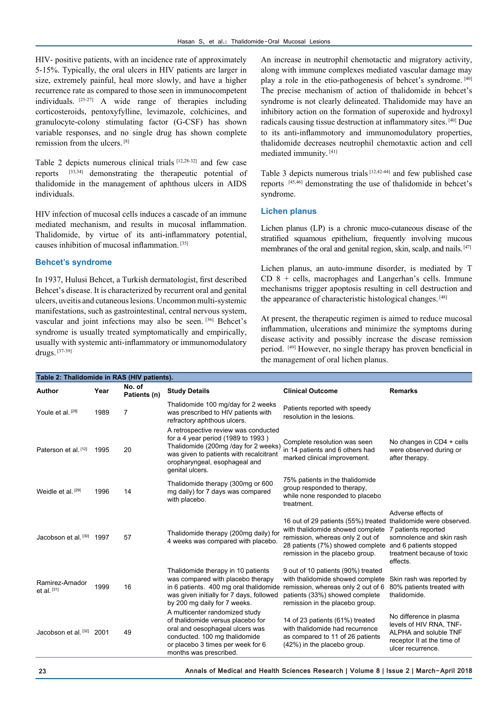HIV- positive patients, with an incidence rate of approximately 5-15%. Typically, the oral ulcers in HIV patients are larger in size, extremely painful, heal more slowly, and have a higher recurrence rate as compared to those seen in immunocompetent individuals. [25-27] A wide range of therapies including corticosteroids, pentoxyfylline, levimazole, colchicines, and granulocyte-colony stimulating factor (G-CSF) has shown variable responses, and no single drug has shown complete remission from the ulcers. [8]

Table 2 depicts numerous clinical trials [12,28-32] and few case reports [33,34] demonstrating the therapeutic potential of thalidomide in the management of aphthous ulcers in AIDS individuals.

HIV infection of mucosal cells induces a cascade of an immune mediated mechanism, and results in mucosal inflammation. Thalidomide, by virtue of its anti-inflammatory potential, causes inhibition of mucosal inflammation. [35]

## **Behcet's syndrome**

In 1937, Hulusi Behcet, a Turkish dermatologist, first described Behcet's disease. It is characterized by recurrent oral and genital ulcers, uveitis and cutaneous lesions. Uncommon multi-systemic manifestations, such as gastrointestinal, central nervous system, vascular and joint infections may also be seen. [36] Behcet's syndrome is usually treated symptomatically and empirically, usually with systemic anti-inflammatory or immunomodulatory drugs. [37-39]

An increase in neutrophil chemotactic and migratory activity, along with immune complexes mediated vascular damage may play a role in the etio-pathogenesis of behcet's syndrome. [40] The precise mechanism of action of thalidomide in behcet's syndrome is not clearly delineated. Thalidomide may have an inhibitory action on the formation of superoxide and hydroxyl radicals causing tissue destruction at inflammatory sites. [40] Due to its anti-inflammotory and immunomodulatory properties, thalidomide decreases neutrophil chemotaxtic action and cell mediated immunity. [41]

Table 3 depicts numerous trials [12,42-44] and few published case reports [45,46] demonstrating the use of thalidomide in behcet's syndrome.

## **Lichen planus**

Lichen planus (LP) is a chronic muco-cutaneous disease of the stratified squamous epithelium, frequently involving mucous membranes of the oral and genital region, skin, scalp, and nails. [47]

Lichen planus, an auto-immune disorder, is mediated by T  $CD$  8 + cells, macrophages and Langerhan's cells. Immune mechanisms trigger apoptosis resulting in cell destruction and the appearance of characteristic histological changes. [48]

At present, the therapeutic regimen is aimed to reduce mucosal inflammation, ulcerations and minimize the symptoms during disease activity and possibly increase the disease remission period. [49] However, no single therapy has proven beneficial in the management of oral lichen planus.

| Table 2: Thalidomide in RAS (HIV patients). |      |                        |                                                                                                                                                                                                                     |                                                                                                                                                                                    |                                                                                                                                                                         |  |
|---------------------------------------------|------|------------------------|---------------------------------------------------------------------------------------------------------------------------------------------------------------------------------------------------------------------|------------------------------------------------------------------------------------------------------------------------------------------------------------------------------------|-------------------------------------------------------------------------------------------------------------------------------------------------------------------------|--|
| <b>Author</b>                               | Year | No. of<br>Patients (n) | <b>Study Details</b>                                                                                                                                                                                                | <b>Clinical Outcome</b>                                                                                                                                                            | <b>Remarks</b>                                                                                                                                                          |  |
| Youle et al. [28]                           | 1989 | 7                      | Thalidomide 100 mg/day for 2 weeks<br>was prescribed to HIV patients with<br>refractory aphthous ulcers.                                                                                                            | Patients reported with speedy<br>resolution in the lesions.                                                                                                                        |                                                                                                                                                                         |  |
| Paterson et al. [12]                        | 1995 | 20                     | A retrospective review was conducted<br>for a 4 year period $(1989$ to 1993)<br>Thalidomide (200mg /day for 2 weeks)<br>was given to patients with recalcitrant<br>oropharyngeal, esophageal and<br>genital ulcers. | Complete resolution was seen<br>in 14 patients and 6 others had<br>marked clinical improvement.                                                                                    | No changes in CD4 + cells<br>were observed during or<br>after therapy.                                                                                                  |  |
| Weidle et al. <sup>[29]</sup>               | 1996 | 14                     | Thalidomide therapy (300mg or 600<br>mg daily) for 7 days was compared<br>with placebo.                                                                                                                             | 75% patients in the thalidomide<br>group responded to therapy.<br>while none responded to placebo<br>treatment.                                                                    |                                                                                                                                                                         |  |
| Jacobson et al. [30] 1997                   |      | 57                     | Thalidomide therapy (200mg daily) for<br>4 weeks was compared with placebo.                                                                                                                                         | 16 out of 29 patients (55%) treated<br>with thalidomide showed complete<br>remission, whereas only 2 out of<br>28 patients (7%) showed complete<br>remission in the placebo group. | Adverse effects of<br>thalidomide were observed.<br>7 patients reported<br>somnolence and skin rash<br>and 6 patients stopped<br>treatment because of toxic<br>effects. |  |
| Ramirez-Amador<br>et al. $[31]$             | 1999 | 16                     | Thalidomide therapy in 10 patients<br>was compared with placebo therapy<br>in 6 patients. 400 mg oral thalidomide<br>was given initially for 7 days, followed<br>by 200 mg daily for 7 weeks.                       | 9 out of 10 patients (90%) treated<br>with thalidomide showed complete<br>remission, whereas only 2 out of 6<br>patients (33%) showed complete<br>remission in the placebo group.  | Skin rash was reported by<br>80% patients treated with<br>thalidomide.                                                                                                  |  |
| Jacobson et al. [32]                        | 2001 | 49                     | A multicenter randomized study<br>of thalidomide versus placebo for<br>oral and oesophageal ulcers was<br>conducted. 100 mg thalidomide<br>or placebo 3 times per week for 6<br>months was prescribed.              | 14 of 23 patients (61%) treated<br>with thalidomide had recurrence<br>as compared to 11 of 26 patients<br>(42%) in the placebo group.                                              | No difference in plasma<br>levels of HIV RNA, TNF-<br>ALPHA and soluble TNF<br>receptor II at the time of<br>ulcer recurrence.                                          |  |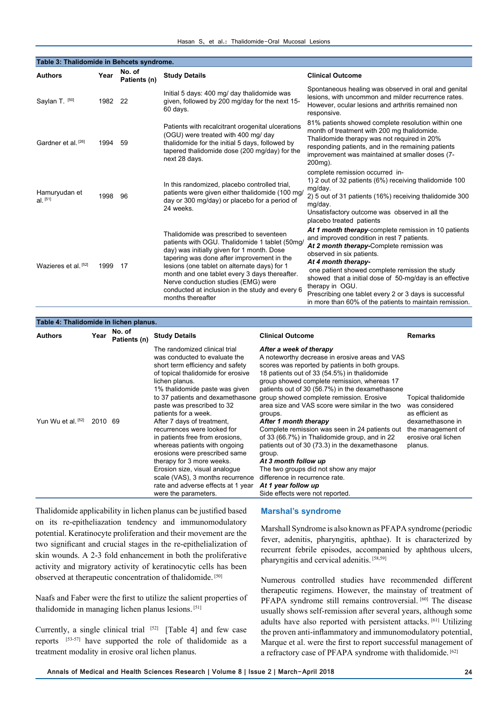| Table 3: Thalidomide in Behcets syndrome. |      |                        |                                                                                                                                                                                                                                                                                                                                                                                                       |                                                                                                                                                                                                                                                                                                                                                                                                                                                           |  |  |
|-------------------------------------------|------|------------------------|-------------------------------------------------------------------------------------------------------------------------------------------------------------------------------------------------------------------------------------------------------------------------------------------------------------------------------------------------------------------------------------------------------|-----------------------------------------------------------------------------------------------------------------------------------------------------------------------------------------------------------------------------------------------------------------------------------------------------------------------------------------------------------------------------------------------------------------------------------------------------------|--|--|
| <b>Authors</b>                            | Year | No. of<br>Patients (n) | <b>Study Details</b>                                                                                                                                                                                                                                                                                                                                                                                  | <b>Clinical Outcome</b>                                                                                                                                                                                                                                                                                                                                                                                                                                   |  |  |
| Saylan T. [50]                            | 1982 | 22                     | Initial 5 days: 400 mg/ day thalidomide was<br>given, followed by 200 mg/day for the next 15-<br>60 days.                                                                                                                                                                                                                                                                                             | Spontaneous healing was observed in oral and genital<br>lesions, with uncommon and milder recurrence rates.<br>However, ocular lesions and arthritis remained non<br>responsive.                                                                                                                                                                                                                                                                          |  |  |
| Gardner et al. <sup>[26]</sup>            | 1994 | 59                     | Patients with recalcitrant orogenital ulcerations<br>(OGU) were treated with 400 mg/ day<br>thalidomide for the initial 5 days, followed by<br>tapered thalidomide dose (200 mg/day) for the<br>next 28 days.                                                                                                                                                                                         | 81% patients showed complete resolution within one<br>month of treatment with 200 mg thalidomide.<br>Thalidomide therapy was not required in 20%<br>responding patients, and in the remaining patients<br>improvement was maintained at smaller doses (7-<br>200 <sub>mg</sub> ).                                                                                                                                                                         |  |  |
| Hamuryudan et<br>Al [51]                  | 1998 | 96                     | In this randomized, placebo controlled trial,<br>patients were given either thalidomide (100 mg/<br>day or 300 mg/day) or placebo for a period of<br>24 weeks.                                                                                                                                                                                                                                        | complete remission occurred in-<br>1) 2 out of 32 patients (6%) receiving thalidomide 100<br>mg/day.<br>2) 5 out of 31 patients (16%) receiving thalidomide 300<br>mg/day.<br>Unsatisfactory outcome was observed in all the<br>placebo treated patients                                                                                                                                                                                                  |  |  |
| Wazieres et al. [52]                      | 1999 | 17                     | Thalidomide was prescribed to seventeen<br>patients with OGU. Thalidomide 1 tablet (50mg/<br>day) was initially given for 1 month. Dose<br>tapering was done after improvement in the<br>lesions (one tablet on alternate days) for 1<br>month and one tablet every 3 days thereafter.<br>Nerve conduction studies (EMG) were<br>conducted at inclusion in the study and every 6<br>months thereafter | At 1 month therapy-complete remission in 10 patients<br>and improved condition in rest 7 patients.<br>At 2 month therapy-Complete remission was<br>observed in six patients.<br>At 4 month therapy-<br>one patient showed complete remission the study<br>showed that a initial dose of 50-mg/day is an effective<br>therapy in OGU.<br>Prescribing one tablet every 2 or 3 days is successful<br>in more than 60% of the patients to maintain remission. |  |  |

| Table 4: Thalidomide in lichen planus. |         |                        |                                                                                                                                                                                                                                                                                                                                                                                                                                                                                                                                                                                                                          |                                                                                                                                                                                                                                                                                                                                                                                                                                                                                                                                                                                                                                                                                                                                               |                                                                                                                                     |  |
|----------------------------------------|---------|------------------------|--------------------------------------------------------------------------------------------------------------------------------------------------------------------------------------------------------------------------------------------------------------------------------------------------------------------------------------------------------------------------------------------------------------------------------------------------------------------------------------------------------------------------------------------------------------------------------------------------------------------------|-----------------------------------------------------------------------------------------------------------------------------------------------------------------------------------------------------------------------------------------------------------------------------------------------------------------------------------------------------------------------------------------------------------------------------------------------------------------------------------------------------------------------------------------------------------------------------------------------------------------------------------------------------------------------------------------------------------------------------------------------|-------------------------------------------------------------------------------------------------------------------------------------|--|
| <b>Authors</b>                         | Year    | No. of<br>Patients (n) | <b>Study Details</b>                                                                                                                                                                                                                                                                                                                                                                                                                                                                                                                                                                                                     | <b>Clinical Outcome</b>                                                                                                                                                                                                                                                                                                                                                                                                                                                                                                                                                                                                                                                                                                                       | <b>Remarks</b>                                                                                                                      |  |
| Yun Wu et al. [52]                     | 2010 69 |                        | The randomized clinical trial<br>was conducted to evaluate the<br>short term efficiency and safety<br>of topical thalidomide for erosive<br>lichen planus.<br>1% thalidomide paste was given<br>to 37 patients and dexamethasone<br>paste was prescribed to 32<br>patients for a week.<br>After 7 days of treatment,<br>recurrences were looked for<br>in patients free from erosions.<br>whereas patients with ongoing<br>erosions were prescribed same<br>therapy for 3 more weeks.<br>Erosion size, visual analogue<br>scale (VAS), 3 months recurrence<br>rate and adverse effects at 1 year<br>were the parameters. | After a week of therapy<br>A noteworthy decrease in erosive areas and VAS<br>scores was reported by patients in both groups.<br>18 patients out of 33 (54.5%) in thalidomide<br>group showed complete remission, whereas 17<br>patients out of 30 (56.7%) in the dexamethasone<br>group showed complete remission. Erosive<br>area size and VAS score were similar in the two<br>groups.<br>After 1 month therapy<br>Complete remission was seen in 24 patients out<br>of 33 (66.7%) in Thalidomide group, and in 22<br>patients out of 30 (73.3) in the dexamethasone<br>group.<br>At 3 month follow up<br>The two groups did not show any major<br>difference in recurrence rate.<br>At 1 year follow up<br>Side effects were not reported. | Topical thalidomide<br>was considered<br>as efficient as<br>dexamethasone in<br>the management of<br>erosive oral lichen<br>planus. |  |

Thalidomide applicability in lichen planus can be justified based on its re-epitheliazation tendency and immunomodulatory potential. Keratinocyte proliferation and their movement are the two significant and crucial stages in the re-epithelialization of skin wounds. A 2-3 fold enhancement in both the proliferative activity and migratory activity of keratinocytic cells has been observed at therapeutic concentration of thalidomide. [50]

Naafs and Faber were the first to utilize the salient properties of thalidomide in managing lichen planus lesions. [51]

Currently, a single clinical trial  $[52]$  [Table 4] and few case reports [53-57] have supported the role of thalidomide as a treatment modality in erosive oral lichen planus.

## **Marshal's syndrome**

Marshall Syndrome is also known as PFAPA syndrome (periodic fever, adenitis, pharyngitis, aphthae). It is characterized by recurrent febrile episodes, accompanied by aphthous ulcers, pharyngitis and cervical adenitis. [58,59]

Numerous controlled studies have recommended different therapeutic regimens. However, the mainstay of treatment of PFAPA syndrome still remains controversial. [60] The disease usually shows self-remission after several years, although some adults have also reported with persistent attacks. [61] Utilizing the proven anti-inflammatory and immunomodulatory potential, Marque et al. were the first to report successful management of a refractory case of PFAPA syndrome with thalidomide. [62]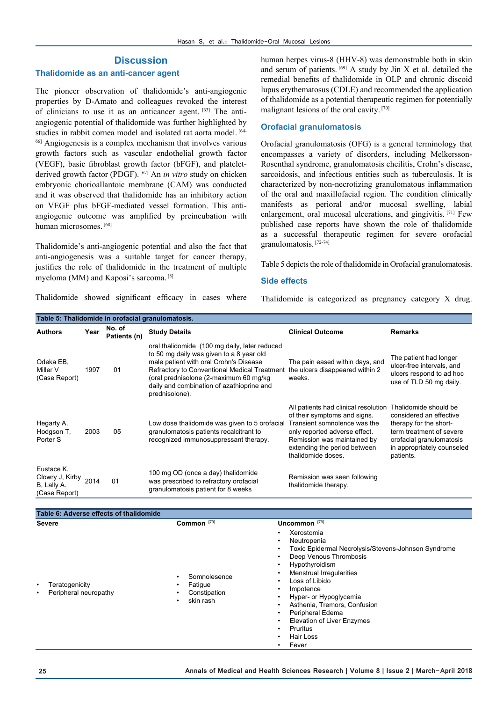## **Discussion**

## **Thalidomide as an anti-cancer agent**

The pioneer observation of thalidomide's anti-angiogenic properties by D-Amato and colleagues revoked the interest of clinicians to use it as an anticancer agent. [63] The antiangiogenic potential of thalidomide was further highlighted by studies in rabbit cornea model and isolated rat aorta model. [64-66] Angiogenesis is a complex mechanism that involves various growth factors such as vascular endothelial growth factor (VEGF), basic fibroblast growth factor (bFGF), and plateletderived growth factor (PDGF). [67] An *in vitro* study on chicken embryonic chorioallantoic membrane (CAM) was conducted and it was observed that thalidomide has an inhibitory action on VEGF plus bFGF-mediated vessel formation. This antiangiogenic outcome was amplified by preincubation with human microsomes. [68]

Thalidomide's anti-angiogenic potential and also the fact that anti-angiogenesis was a suitable target for cancer therapy, justifies the role of thalidomide in the treatment of multiple myeloma (MM) and Kaposi's sarcoma. [8]

Thalidomide showed significant efficacy in cases where

human herpes virus-8 (HHV-8) was demonstrable both in skin and serum of patients.  $[69]$  A study by Jin X et al. detailed the remedial benefits of thalidomide in OLP and chronic discoid lupus erythematosus (CDLE) and recommended the application of thalidomide as a potential therapeutic regimen for potentially malignant lesions of the oral cavity. [70]

### **Orofacial granulomatosis**

Orofacial granulomatosis (OFG) is a general terminology that encompasses a variety of disorders, including Melkersson-Rosenthal syndrome, granulomatosis cheilitis, Crohn's disease, sarcoidosis, and infectious entities such as tuberculosis. It is characterized by non-necrotizing granulomatous inflammation of the oral and maxillofacial region. The condition clinically manifests as perioral and/or mucosal swelling, labial enlargement, oral mucosal ulcerations, and gingivitis. [71] Few published case reports have shown the role of thalidomide as a successful therapeutic regimen for severe orofacial granulomatosis. [72-74]

Table 5 depicts the role of thalidomide in Orofacial granulomatosis.

## **Side effects**

Thalidomide is categorized as pregnancy category X drug.

| Table 5: Thalidomide in orofacial granulomatosis.                  |      |                        |                                                                                                                                                                                                                                                                                                                              |                                                                                                                                                                                                                            |                                                                                                                                                                               |  |  |
|--------------------------------------------------------------------|------|------------------------|------------------------------------------------------------------------------------------------------------------------------------------------------------------------------------------------------------------------------------------------------------------------------------------------------------------------------|----------------------------------------------------------------------------------------------------------------------------------------------------------------------------------------------------------------------------|-------------------------------------------------------------------------------------------------------------------------------------------------------------------------------|--|--|
| <b>Authors</b>                                                     | Year | No. of<br>Patients (n) | <b>Study Details</b>                                                                                                                                                                                                                                                                                                         | <b>Clinical Outcome</b>                                                                                                                                                                                                    | <b>Remarks</b>                                                                                                                                                                |  |  |
| Odeka EB.<br>Miller V<br>(Case Report)                             | 1997 | 01                     | oral thalidomide (100 mg daily, later reduced<br>to 50 mg daily was given to a 8 year old<br>male patient with oral Crohn's Disease<br>Refractory to Conventional Medical Treatment the ulcers disappeared within 2<br>(oral prednisolone (2-maximum 60 mg/kg<br>daily and combination of azathioprine and<br>prednisolone). | The pain eased within days, and<br>weeks.                                                                                                                                                                                  | The patient had longer<br>ulcer-free intervals, and<br>ulcers respond to ad hoc<br>use of TLD 50 mg daily.                                                                    |  |  |
| Hegarty A,<br>Hodgson T,<br>Porter S                               | 2003 | 05                     | Low dose thalidomide was given to 5 orofacial<br>granulomatosis patients recalcitrant to<br>recognized immunosuppressant therapy.                                                                                                                                                                                            | All patients had clinical resolution<br>of their symptoms and signs.<br>Transient somnolence was the<br>only reported adverse effect.<br>Remission was maintained by<br>extending the period between<br>thalidomide doses. | Thalidomide should be<br>considered an effective<br>therapy for the short-<br>term treatment of severe<br>orofacial granulomatosis<br>in appropriately counseled<br>patients. |  |  |
| Eustace K.<br>Clowry J, Kirby 2014<br>B, Lally A.<br>(Case Report) |      | 01                     | 100 mg OD (once a day) thalidomide<br>was prescribed to refractory orofacial<br>granulomatosis patient for 8 weeks                                                                                                                                                                                                           | Remission was seen following<br>thalidomide therapy.                                                                                                                                                                       |                                                                                                                                                                               |  |  |
|                                                                    |      |                        |                                                                                                                                                                                                                                                                                                                              |                                                                                                                                                                                                                            |                                                                                                                                                                               |  |  |
| Table 6: Adverse effects of thalidomide                            |      |                        |                                                                                                                                                                                                                                                                                                                              |                                                                                                                                                                                                                            |                                                                                                                                                                               |  |  |
| <b>Severe</b>                                                      |      |                        | Common <sup>[79]</sup>                                                                                                                                                                                                                                                                                                       | Uncommon <sup>[79]</sup>                                                                                                                                                                                                   |                                                                                                                                                                               |  |  |
|                                                                    |      |                        | $\sim$ $\sim$ $\sim$                                                                                                                                                                                                                                                                                                         | Xerostomia<br>Neutropenia<br>Toxic Epidermal Necrolysis/Stevens-Johnson Syndrome<br>Deep Venous Thrombosis<br>Hypothyroidism<br><b>Menstrual Irregularities</b>                                                            |                                                                                                                                                                               |  |  |

**Teratogenicity** Peripheral neuropathy

- 
- Constipation skin rash
- Hyper- or Hypoglycemia • Asthenia, Tremors, Confusion
- Peripheral Edema
- Elevation of Liver Enzymes
- **Pruritus**

• Loss of Libido **Impotence** 

- Hair Loss
- **Fever**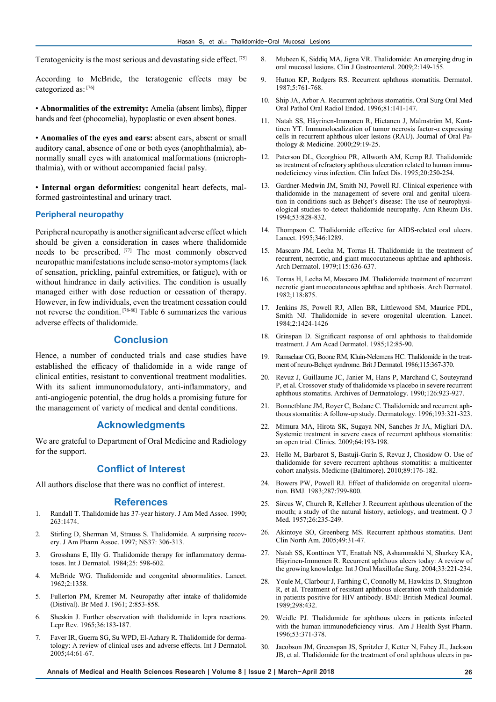Teratogenicity is the most serious and devastating side effect. [75]

According to McBride, the teratogenic effects may be categorized as: [76]

• **Abnormalities of the extremity:** Amelia (absent limbs), flipper hands and feet (phocomelia), hypoplastic or even absent bones.

• **Anomalies of the eyes and ears:** absent ears, absent or small auditory canal, absence of one or both eyes (anophthalmia), abnormally small eyes with anatomical malformations (microphthalmia), with or without accompanied facial palsy.

• **Internal organ deformities:** congenital heart defects, malformed gastrointestinal and urinary tract.

### **Peripheral neuropathy**

Peripheral neuropathy is another significant adverse effect which should be given a consideration in cases where thalidomide needs to be prescribed. [77] The most commonly observed neuropathic manifestations include senso-motor symptoms (lack of sensation, prickling, painful extremities, or fatigue), with or without hindrance in daily activities. The condition is usually managed either with dose reduction or cessation of therapy. However, in few individuals, even the treatment cessation could not reverse the condition. [78-80] Table 6 summarizes the various adverse effects of thalidomide.

## **Conclusion**

Hence, a number of conducted trials and case studies have established the efficacy of thalidomide in a wide range of clinical entities, resistant to conventional treatment modalities. With its salient immunomodulatory, anti-inflammatory, and anti-angiogenic potential, the drug holds a promising future for the management of variety of medical and dental conditions.

### **Acknowledgments**

We are grateful to Department of Oral Medicine and Radiology for the support.

## **Conflict of Interest**

All authors disclose that there was no conflict of interest.

#### **References**

- 1. Randall T. Thalidomide has 37-year history. J Am Med Assoc. 1990; 263:1474.
- 2. Stirling D, Sherman M, Strauss S. Thalidomide. A surprising recovery. J Am Pharm Assoc. 1997; NS37: 306-313.
- 3. Grosshans E, Illy G. Thalidomide therapy for inflammatory dermatoses. Int J Dermatol. 1984;25: 598-602.
- 4. McBride WG. Thalidomide and congenital abnormalities. Lancet. 1962;2:1358.
- 5. Fullerton PM, Kremer M. Neuropathy after intake of thalidomide (Distival). Br Med J. 1961; 2:853-858.
- 6. Sheskin J. Further observation with thalidomide in lepra reactions. Lepr Rev. 1965;36:183-187.
- 7. Faver IR, Guerra SG, Su WPD, El-Azhary R. Thalidomide for dermatology: A review of clinical uses and adverse effects. Int J Dermatol. 2005;44:61-67.
- 8. Mubeen K, Siddiq MA, Jigna VR. Thalidomide: An emerging drug in oral mucosal lesions. Clin J Gastroenterol. 2009;2:149-155.
- 9. Hutton KP, Rodgers RS. Recurrent aphthous stomatitis. Dermatol. 1987;5:761-768.
- 10. Ship JA, Arbor A. Recurrent aphthous stomatitis. Oral Surg Oral Med Oral Pathol Oral Radiol Endod. 1996;81:141-147.
- 11. Natah SS, Häyrinen-Immonen R, Hietanen J, Malmström M, Konttinen YT. Immunolocalization of tumor necrosis factor-α expressing cells in recurrent aphthous ulcer lesions (RAU). Journal of Oral Pathology & Medicine. 2000;29:19-25.
- 12. Paterson DL, Georghiou PR, Allworth AM, Kemp RJ. Thalidomide as treatment of refractory aphthous ulceration related to human immunodeficiency virus infection. Clin Infect Dis. 1995;20:250-254.
- 13. Gardner-Medwin JM, Smith NJ, Powell RJ. Clinical experience with thalidomide in the management of severe oral and genital ulceration in conditions such as Behçet's disease: The use of neurophysiological studies to detect thalidomide neuropathy. Ann Rheum Dis. 1994;53:828-832.
- 14. Thompson C. Thalidomide effective for AIDS-related oral ulcers. Lancet. 1995;346:1289.
- 15. Mascaro JM, Lecha M, Torras H. Thalidomide in the treatment of recurrent, necrotic, and giant mucocutaneous aphthae and aphthosis. Arch Dermatol. 1979;115:636-637.
- 16. Torras H, Lecha M, Mascaro JM. Thalidomide treatment of recurrent necrotic giant mucocutaneous aphthae and aphthosis. Arch Dermatol. 1982;118:875.
- 17. Jenkins JS, Powell RJ, Allen BR, Littlewood SM, Maurice PDL, Smith NJ. Thalidomide in severe orogenital ulceration. Lancet. 1984;2:1424-1426
- 18. Grinspan D. Significant response of oral aphthosis to thalidomide treatment. J Am Acad Dermatol. 1985;12:85-90.
- 19. Ramselaar CG, Boone RM, Kluin-Nelemens HC. Thalidomide in the treatment of neuro-Behçet syndrome. Brit J Dermatol. 1986;115:367-370.
- 20. Revuz J, Guillaume JC, Janier M, Hans P, Marchand C, Souteyrand P, et al. Crossover study of thalidomide vs placebo in severe recurrent aphthous stomatitis. Archives of Dermatology. 1990;126:923-927.
- 21. Bonnetblanc JM, Royer C, Bedane C. Thalidomide and recurrent aphthous stomatitis: A follow-up study. Dermatology. 1996;193:321-323.
- 22. Mimura MA, Hirota SK, Sugaya NN, Sanches Jr JA, Migliari DA. Systemic treatment in severe cases of recurrent aphthous stomatitis: an open trial. Clinics. 2009;64:193-198.
- 23. Hello M, Barbarot S, Bastuji-Garin S, Revuz J, Chosidow O. Use of thalidomide for severe recurrent aphthous stomatitis: a multicenter cohort analysis. Medicine (Baltimore). 2010;89:176-182.
- 24. Bowers PW, Powell RJ. Effect of thalidomide on orogenital ulceration. BMJ. 1983;287:799-800.
- 25. Sircus W, Church R, Kelleher J. Recurrent aphthous ulceration of the mouth; a study of the natural history, aetiology, and treatment. Q J Med. 1957;26:235-249.
- 26. Akintoye SO, Greenberg MS. Recurrent aphthous stomatitis. Dent Clin North Am. 2005;49:31-47.
- 27. Natah SS, Konttinen YT, Enattah NS, Ashammakhi N, Sharkey KA, Häyrinen-Immonen R. Recurrent aphthous ulcers today: A review of the growing knowledge. Int J Oral Maxillofac Surg. 2004;33:221-234.
- 28. Youle M, Clarbour J, Farthing C, Connolly M, Hawkins D, Staughton R, et al. Treatment of resistant aphthous ulceration with thalidomide in patients positive for HIV antibody. BMJ: British Medical Journal. 1989;298:432.
- 29. Weidle PJ. Thalidomide for aphthous ulcers in patients infected with the human immunodeficiency virus. Am J Health Syst Pharm. 1996;53:371-378.
- 30. Jacobson JM, Greenspan JS, Spritzler J, Ketter N, Fahey JL, Jackson JB, et al. Thalidomide for the treatment of oral aphthous ulcers in pa-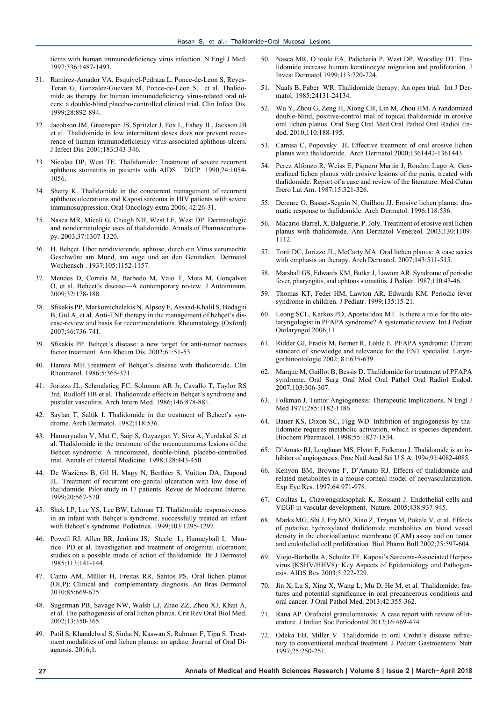tients with human immunodeficiency virus infection. N Engl J Med. 1997;336:1487-1493.

- 31. Ramirez-Amador VA, Esquivel-Pedraza L, Ponce-de-Leon S, Reyes-Teran G, Gonzalez-Guevara M, Ponce-de-Leon S, et al. Thalidomide as therapy for human immunodeficiency virus-related oral ulcers: a double-blind placebo-controlled clinical trial. Clin Infect Dis. 1999;28:892-894.
- 32. Jacobson JM, Greenspan JS, Spritzler J, Fox L, Fahey JL, Jackson JB et al. Thalidomide in low intermittent doses does not prevent recurrence of human immunodeficiency virus-associated aphthous ulcers. J Infect Dis. 2001;183:343-346.
- 33. Nicolau DP, West TE. Thalidomide: Treatment of severe recurrent aphthous stomatitis in patients with AIDS. DICP. 1990;24:1054- 1056.
- 34. Shetty K. Thalidomide in the concurrent management of recurrent aphthous ulcerations and Kaposi sarcoma in HIV patients with severe immunosuppression. Oral Oncology extra 2006; 42:26-31.
- 35. Nasca MR, Micali G, Cheigh NH, West LE, West DP. Dermatologic and nondermatologic uses of thalidomide. Annals of Pharmacotherapy. 2003;37:1307-1320.
- 36. H. Behçet. Uber rezidivierende, aphtose, durch ein Virus verursachte Geschwüre am Mund, am auge und an den Genitalien. Dermatol Wochensch . 1937;105:1152-1157.
- 37. Mendes D, Correia M, Barbedo M, Vaio T, Mota M, Gonçalves O, et al. Behçet's disease—A contemporary review. J Autoimmun. 2009;32:178-188.
- 38. Sfikakis PP, Markomichelakis N, Alpsoy E, Assaad-Khalil S, Bodaghi B, Gul A, et al. Anti-TNF therapy in the management of behçet's disease-review and basis for recommendations. Rheumatology (Oxford) 2007;46:736-741.
- 39. Sfikakis PP. Behçet's disease: a new target for anti-tumor necrosis factor treatment. Ann Rheum Dis. 2002;61:51-53.
- 40. Hamza MH.Treatment of Behçet's disease with thalidomide. Clin Rheumatol. 1986;5:365-371.
- 41. Jorizzo JL, Schmalstieg FC, Solomon AR Jr, Cavallo T, Taylor RS 3rd, Rudloff HB et al. Thalidomide effects in Behçet's syndrome and pustular vasculitis. Arch Intern Med. 1986;146:878-881.
- 42. Saylan T, Saltik I. Thalidomide in the treatment of Behcet's syndrome. Arch Dermatol. 1982;118:536.
- 43. Hamuryudan V, Mat C, Saip S, Ozyazgan Y, Siva A, Yurdakul S, et al. Thalidomide in the treatment of the mucocutaneous lesions of the Behcet syndrome: A randomized, double-blind, placebo-controlled trial. Annals of Internal Medicine. 1998;128:443-450.
- 44. De Wazières B, Gil H, Magy N, Berthier S, Vuitton DA, Dupond JL. Treatment of recurrent oro-genital ulceration with low dose of thalidomide. Pilot study in 17 patients. Revue de Medecine Interne. 1999;20:567-570.
- 45. Shek LP, Lee YS, Lee BW, Lehman TJ. Thalidomide responsiveness in an infant with Behçet's syndrome. successfully treated an infant with Behcet's syndrome. Pediatrics. 1999;103:1295-1297.
- 46. Powell RJ, Allen BR, Jenkins JS, Steele L, Hunneyball I, Maurice PD et al. Investigation and treatment of orogenital ulceration; studies on a possible mode of action of thalidomide. Br J Dermatol 1985;113:141-144.
- 47. Canto AM, Müller H, Freitas RR, Santos PS. Oral lichen planus (OLP): Clinical and complementary diagnosis. An Bras Dermatol 2010;85:669-675.
- 48. Sugerman PB, Savage NW, Walsh LJ, Zhao ZZ, Zhou XJ, Khan A, et al. The pathogenesis of oral lichen planus. Crit Rev Oral Biol Med. 2002;13:350-365.
- 49. Patil S, Khandelwal S, Sinha N, Kaswan S, Rahman F, Tipu S. Treatment modalities of oral lichen planus: an update. Journal of Oral Diagnosis. 2016;1.
- 50. Nasca MR, O'toole EA, Palicharia P, West DP, Woodley DT. Thalidomide increase human keratinocyte migration and proliferation. J Invest Dermatol 1999;113:720-724.
- 51. Naafs B, Faber WR. Thalidomide therapy: An open trial. Int J Dermatol. 1985;24131-24134.
- 52. Wu Y, Zhou G, Zeng H, Xiong CR, Lin M, Zhou HM. A randomized double-blind, positive-control trial of topical thalidomide in erosive oral lichen planus. Oral Surg Oral Med Oral Pathol Oral Radiol Endod. 2010;110:188-195.
- 53. Camisa C, Popovsky JL Effective treatment of oral erosive lichen planus with thalidomide. Arch Dermatol 2000;1361442-1361443.
- 54. Perez Alfonzo R, Weiss E, Piquero Martin J, Rondon Lugo A. Generalized lichen planus with erosive lesions of the penis, treated with thalidomide. Report of a case and review of the literature. Med Cutan Ibero Lat Am. 1987;15:321-326.
- 55. Dereure O, Basset-Seguin N, Guilhou JJ. Erosive lichen planus: dramatic response to thalidomide. Arch Dermatol. 1996;118:536.
- 56. Macario-Barrel, X. Balguerie, P. Joly. Treatment of erosive oral lichen planus with thalidomide. Ann Dermatol Venereol. 2003;130:1109- 1112.
- 57. Torti DC, Jorizzo JL, McCarty MA. Oral lichen planus: A case series with emphasis on therapy. Arch Dermatol. 2007;143:511-515.
- 58. Marshall GS, Edwards KM, Butler J, Lawton AR. Syndrome of periodic fever, pharyngitis, and aphtous stomatitis. J Pediatr. 1987;110:43-46.
- 59. Thomas KT, Feder HM, Lawton AR, Edwards KM. Periodic fever syndrome in children. J Pediatr. 1999;135:15-21.
- 60. Leong SCL, Karkos PD, Apostolidou MT. Is there a role for the otolaryngologist in PFAPA syndrome? A systematic review. Int J Pediatr Otolaryngol 2006;11.
- 61. Ridder GJ, Fradis M, Berner R, Lohle E. PFAPA syndrome: Current standard of knowledge and relevance for the ENT specialist. Laryngorhinootologie 2002; 81:635-639.
- 62. Marque M, Guillot B, Bessis D. Thalidomide for treatment of PFAPA syndrome. Oral Surg Oral Med Oral Pathol Oral Radiol Endod. 2007;103:306-307.
- 63. Folkman J. Tumor Angiogenesis: Therapeutic Implications. N Engl J Med 1971;285:1182-1186.
- 64. Bauer KS, Dixon SC, Figg WD. Inhibition of angiogenesis by thalidomide requires metabolic activation, which is species-dependent. Biochem Pharmacol. 1998;55:1827-1834.
- 65. D'Amato RJ, Loughnan MS, Flynn E, Folkman J. Thalidomide is an inhibitor of angiogenesis. Proc Natl Acad Sci U S A. 1994;91:4082-4085.
- 66. Kenyon BM, Browne F, D'Amato RJ. Effects of thalidomide and related metabolites in a mouse corneal model of neovascularization. Exp Eye Res. 1997;64:971-978.
- 67. Coultas L, Chawengsaksophak K, Rossant J. Endothelial cells and VEGF in vascular development. Nature. 2005;438:937-945.
- 68. Marks MG, Shi J, Fry MO, Xiao Z, Trzyna M, Pokala V, et al. Effects of putative hydroxylated thalidomide metabolites on blood vessel density in the chorioallantoic membrane (CAM) assay and on tumor and endothelial cell proliferation. Biol Pharm Bull 2002;25:597-604.
- 69. Viejo-Borbolla A, Schultz TF. Kaposi's Sarcoma-Associated Herpesvirus (KSHV/HHV8): Key Aspects of Epidemiology and Pathogenesis. AIDS Rev 2003;5:222-229.
- 70. Jin X, Lu S, Xing X, Wang L, Mu D, He M, et al. Thalidomide: features and potential significance in oral precancerous conditions and oral cancer. J Oral Pathol Med. 2013;42:355-362.
- 71. Rana AP. Orofacial granulomatosis: A case report with review of literature. J Indian Soc Periodontol 2012;16:469-474.
- 72. Odeka EB, Miller V. Thalidomide in oral Crohn's disease refractory to conventional medical treatment. J Pediatr Gastroenterol Nutr 1997;25:250-251.